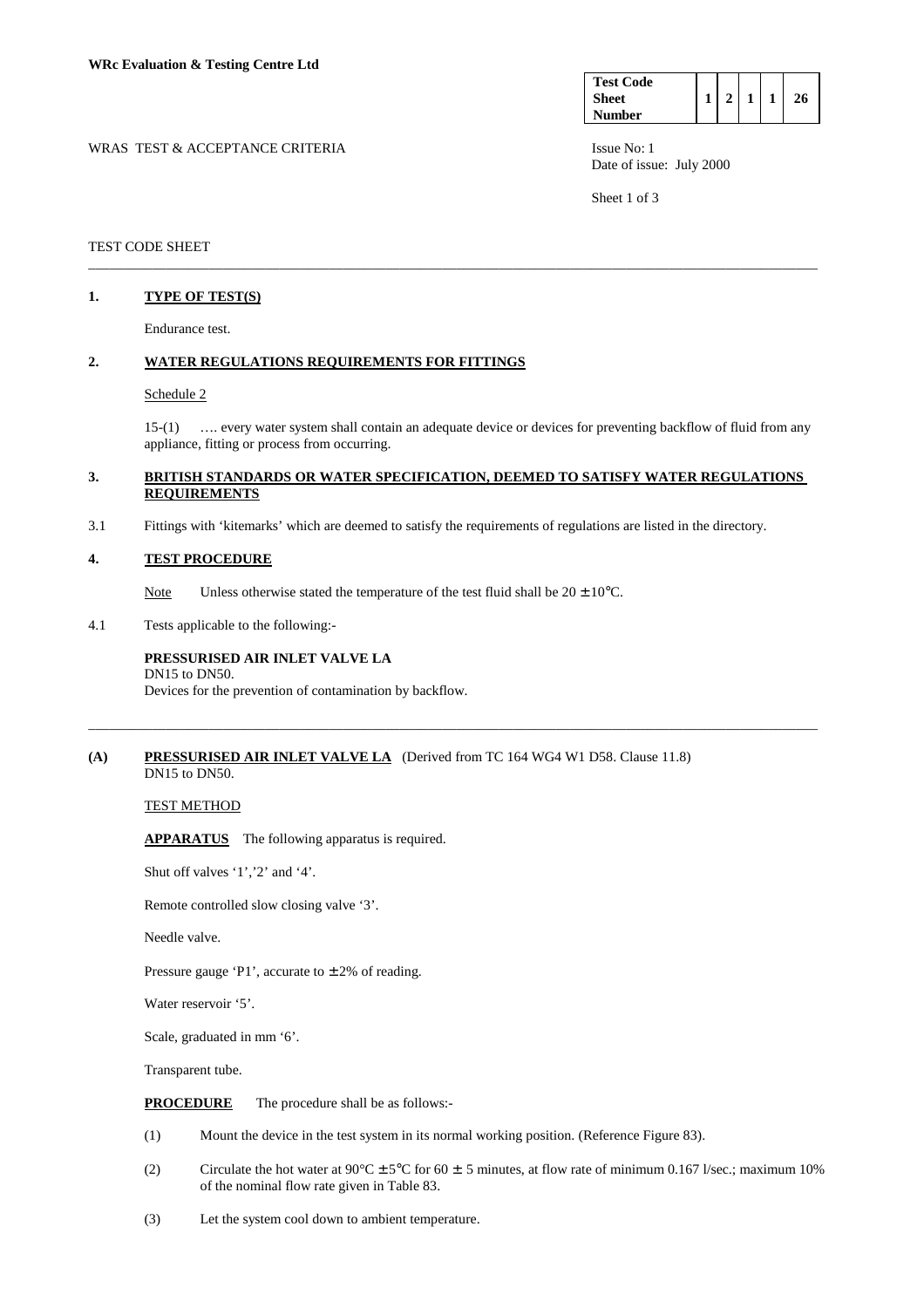| <b>Test Code</b> |  |  |    |
|------------------|--|--|----|
| <b>Sheet</b>     |  |  | 26 |
| <b>Number</b>    |  |  |    |

WRAS TEST & ACCEPTANCE CRITERIA **ISSUE NO:** 1 Date of issue: July 2000

Sheet 1 of 3

# TEST CODE SHEET

# **1. TYPE OF TEST(S)**

Endurance test.

### **2. WATER REGULATIONS REQUIREMENTS FOR FITTINGS**

#### Schedule 2

 15-(1) …. every water system shall contain an adequate device or devices for preventing backflow of fluid from any appliance, fitting or process from occurring.

## **3. BRITISH STANDARDS OR WATER SPECIFICATION, DEEMED TO SATISFY WATER REGULATIONS REQUIREMENTS**

\_\_\_\_\_\_\_\_\_\_\_\_\_\_\_\_\_\_\_\_\_\_\_\_\_\_\_\_\_\_\_\_\_\_\_\_\_\_\_\_\_\_\_\_\_\_\_\_\_\_\_\_\_\_\_\_\_\_\_\_\_\_\_\_\_\_\_\_\_\_\_\_\_\_\_\_\_\_\_\_\_\_\_\_\_\_\_\_\_\_\_\_\_\_\_\_\_\_\_\_\_\_\_

\_\_\_\_\_\_\_\_\_\_\_\_\_\_\_\_\_\_\_\_\_\_\_\_\_\_\_\_\_\_\_\_\_\_\_\_\_\_\_\_\_\_\_\_\_\_\_\_\_\_\_\_\_\_\_\_\_\_\_\_\_\_\_\_\_\_\_\_\_\_\_\_\_\_\_\_\_\_\_\_\_\_\_\_\_\_\_\_\_\_\_\_\_\_\_\_\_\_\_\_\_\_\_

3.1 Fittings with 'kitemarks' which are deemed to satisfy the requirements of regulations are listed in the directory.

#### **4. TEST PROCEDURE**

Note Unless otherwise stated the temperature of the test fluid shall be  $20 \pm 10^{\circ}$ C.

4.1 Tests applicable to the following:-

#### **PRESSURISED AIR INLET VALVE LA**  DN15 to DN50.

Devices for the prevention of contamination by backflow.

#### **(A) PRESSURISED AIR INLET VALVE LA** (Derived from TC 164 WG4 W1 D58. Clause 11.8) DN15 to DN50.

# TEST METHOD

 **APPARATUS** The following apparatus is required.

Shut off valves '1','2' and '4'.

Remote controlled slow closing valve '3'.

Needle valve.

Pressure gauge 'P1', accurate to  $\pm 2\%$  of reading.

Water reservoir '5'.

Scale, graduated in mm '6'.

Transparent tube.

**PROCEDURE** The procedure shall be as follows:-

- (1) Mount the device in the test system in its normal working position. (Reference Figure 83).
- (2) Circulate the hot water at  $90^{\circ}$ C ± 5°C for 60 ± 5 minutes, at flow rate of minimum 0.167 l/sec.; maximum 10% of the nominal flow rate given in Table 83.
- (3) Let the system cool down to ambient temperature.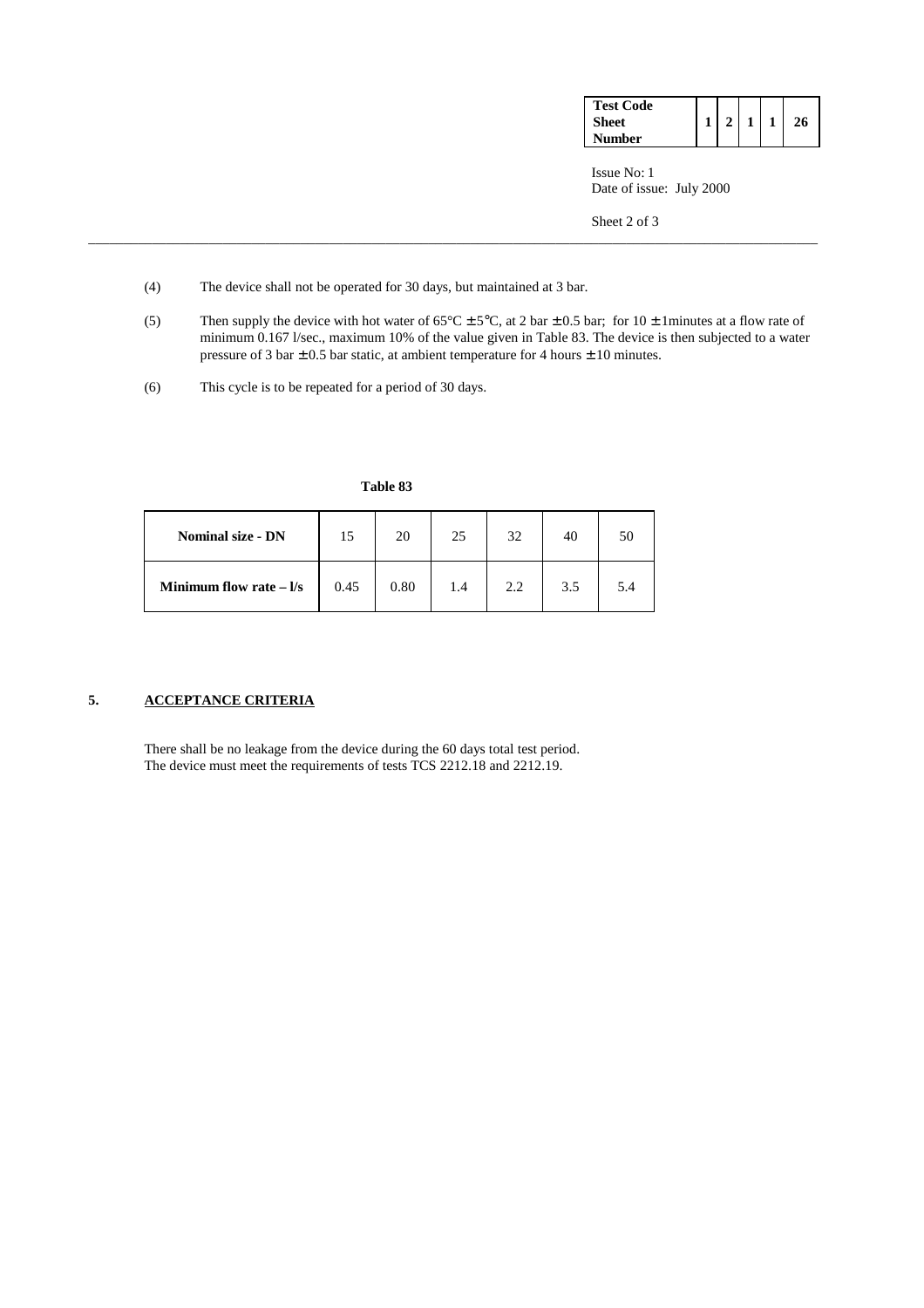| <b>Test Code</b> |  |  |  |
|------------------|--|--|--|
| <b>Sheet</b>     |  |  |  |
| Number           |  |  |  |

 Issue No: 1 Date of issue: July 2000

Sheet 2 of 3

- (4) The device shall not be operated for 30 days, but maintained at 3 bar.
- (5) Then supply the device with hot water of  $65^{\circ}$ C  $\pm$  5°C, at 2 bar  $\pm$  0.5 bar; for 10  $\pm$  1 minutes at a flow rate of minimum 0.167 l/sec., maximum 10% of the value given in Table 83. The device is then subjected to a water pressure of 3 bar  $\pm$  0.5 bar static, at ambient temperature for 4 hours  $\pm$  10 minutes.

\_\_\_\_\_\_\_\_\_\_\_\_\_\_\_\_\_\_\_\_\_\_\_\_\_\_\_\_\_\_\_\_\_\_\_\_\_\_\_\_\_\_\_\_\_\_\_\_\_\_\_\_\_\_\_\_\_\_\_\_\_\_\_\_\_\_\_\_\_\_\_\_\_\_\_\_\_\_\_\_\_\_\_\_\_\_\_\_\_\_\_\_\_\_\_\_\_\_\_\_\_\_\_

(6) This cycle is to be repeated for a period of 30 days.

| Table 83 |
|----------|
|          |

| <b>Nominal size - DN</b> |      | 20   | 25  | 32  | 40  | 50 |
|--------------------------|------|------|-----|-----|-----|----|
| Minimum flow rate $ 1/s$ | 0.45 | 0.80 | 1.4 | 2.2 | 3.5 |    |

# **5. ACCEPTANCE CRITERIA**

 There shall be no leakage from the device during the 60 days total test period. The device must meet the requirements of tests TCS 2212.18 and 2212.19.